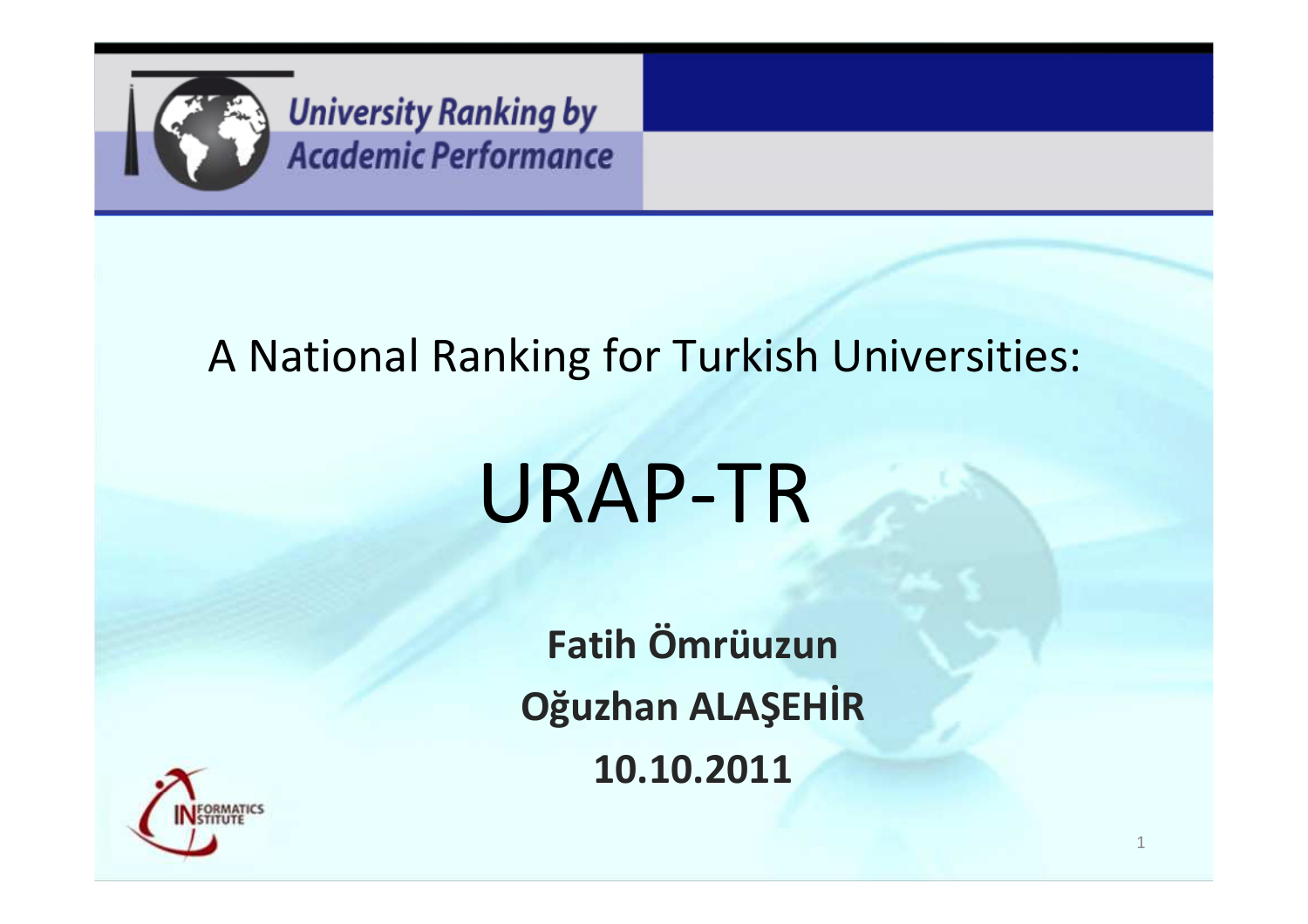

#### A National Ranking for Turkish Universities:

# URAP-TR

**Fatih ÖmrüuzunOğuzhan ALAŞEHİR10.10.2011**

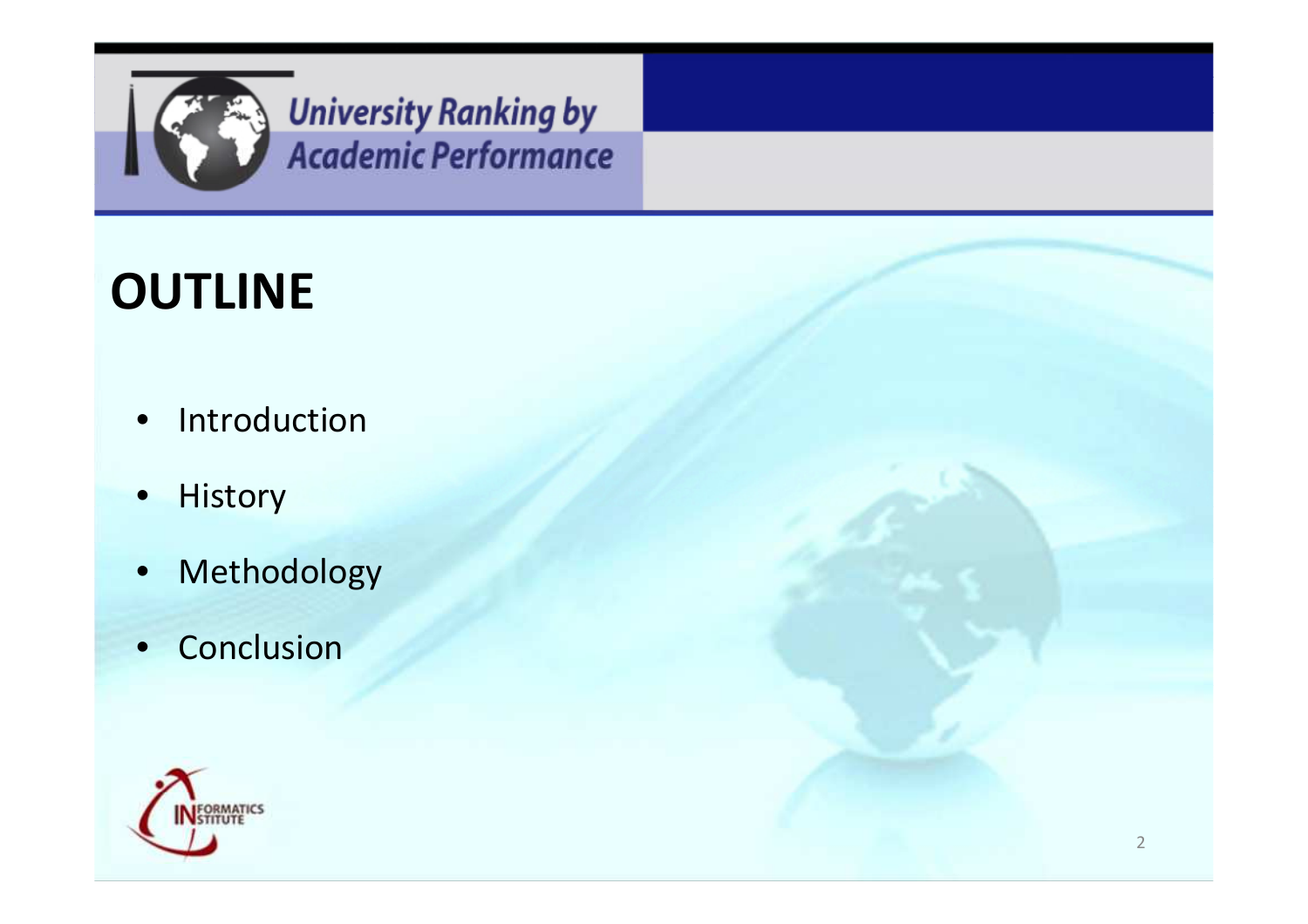

#### **OUTLINE**

- $\bullet$ Introduction
- $\bullet$ History
- •Methodology
- Conclusion

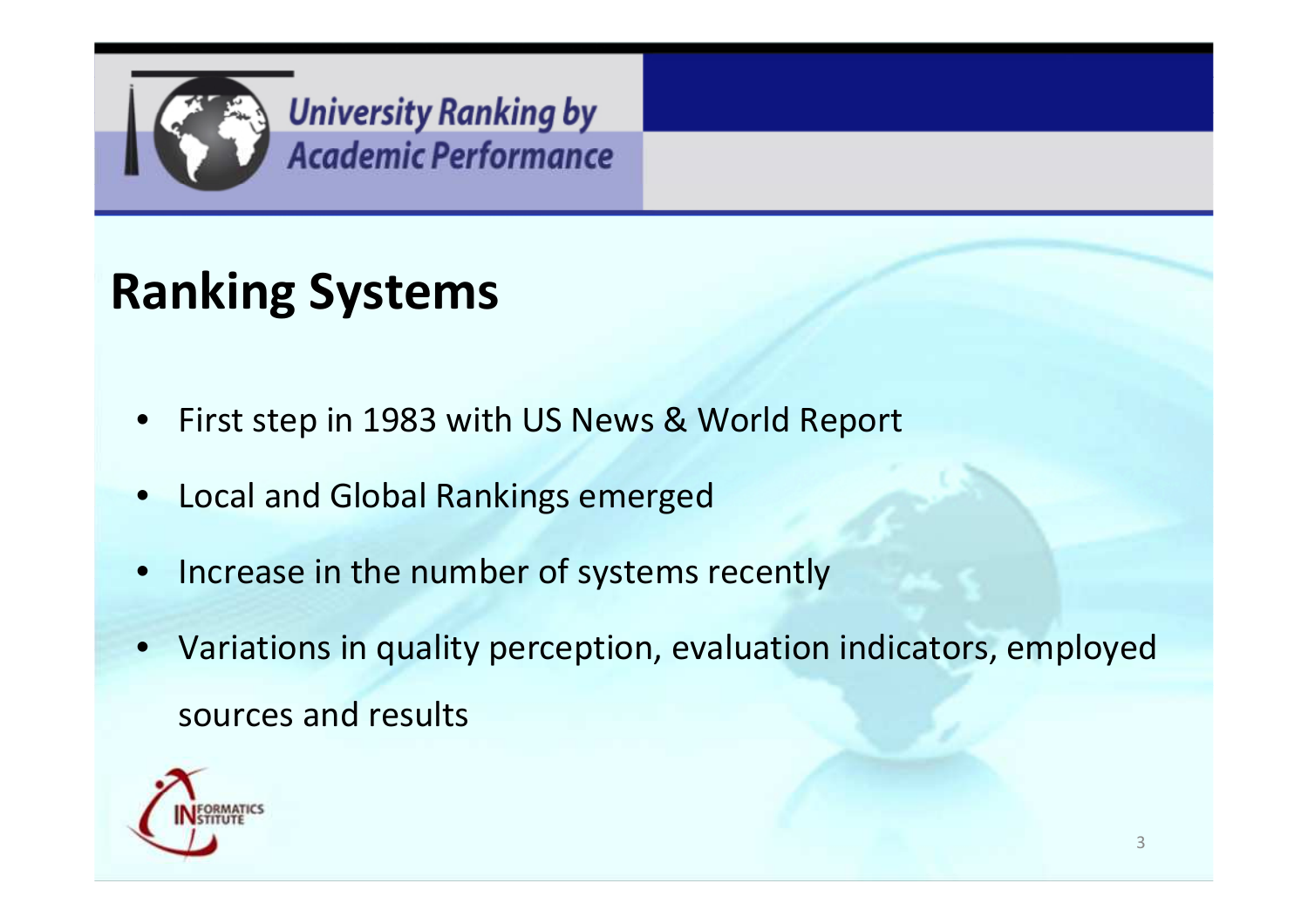

# **Ranking Systems**

- •First step in 1983 with US News & World Report
- •Local and Global Rankings emerged
- •Increase in the number of systems recently
- Variations in quality perception, evaluation indicators, employed sources and results

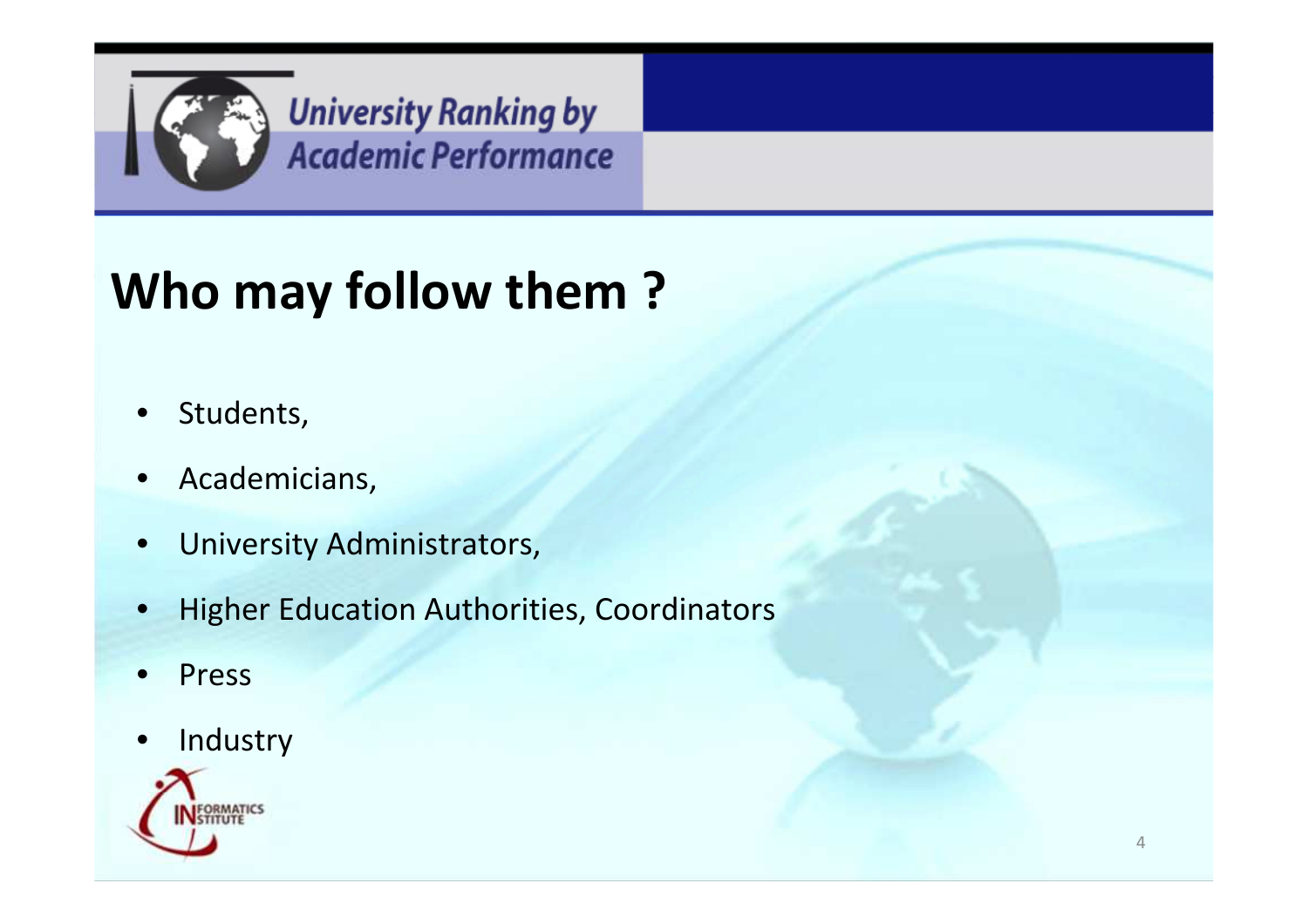

# **Who may follow them ?**

- $\bullet$ Students,
- $\bullet$ Academicians,
- $\bullet$ University Administrators,
- •Higher Education Authorities, Coordinators
- •Press
- •Industry

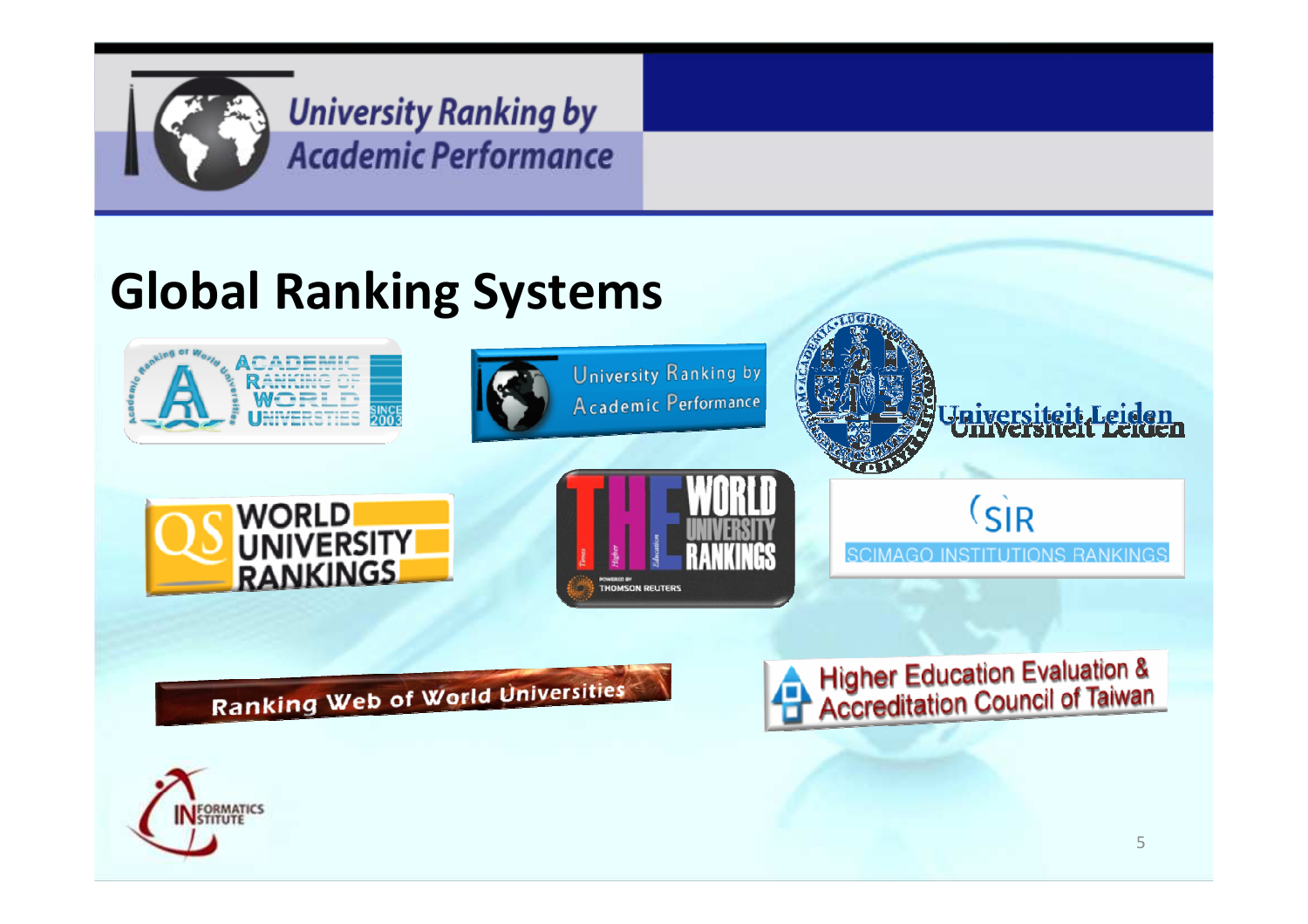

#### **Global Ranking Systems**



**Ranking Web of World Universities** 

**Higher Education Evaluation &<br>Accreditation Council of Taiwan** 

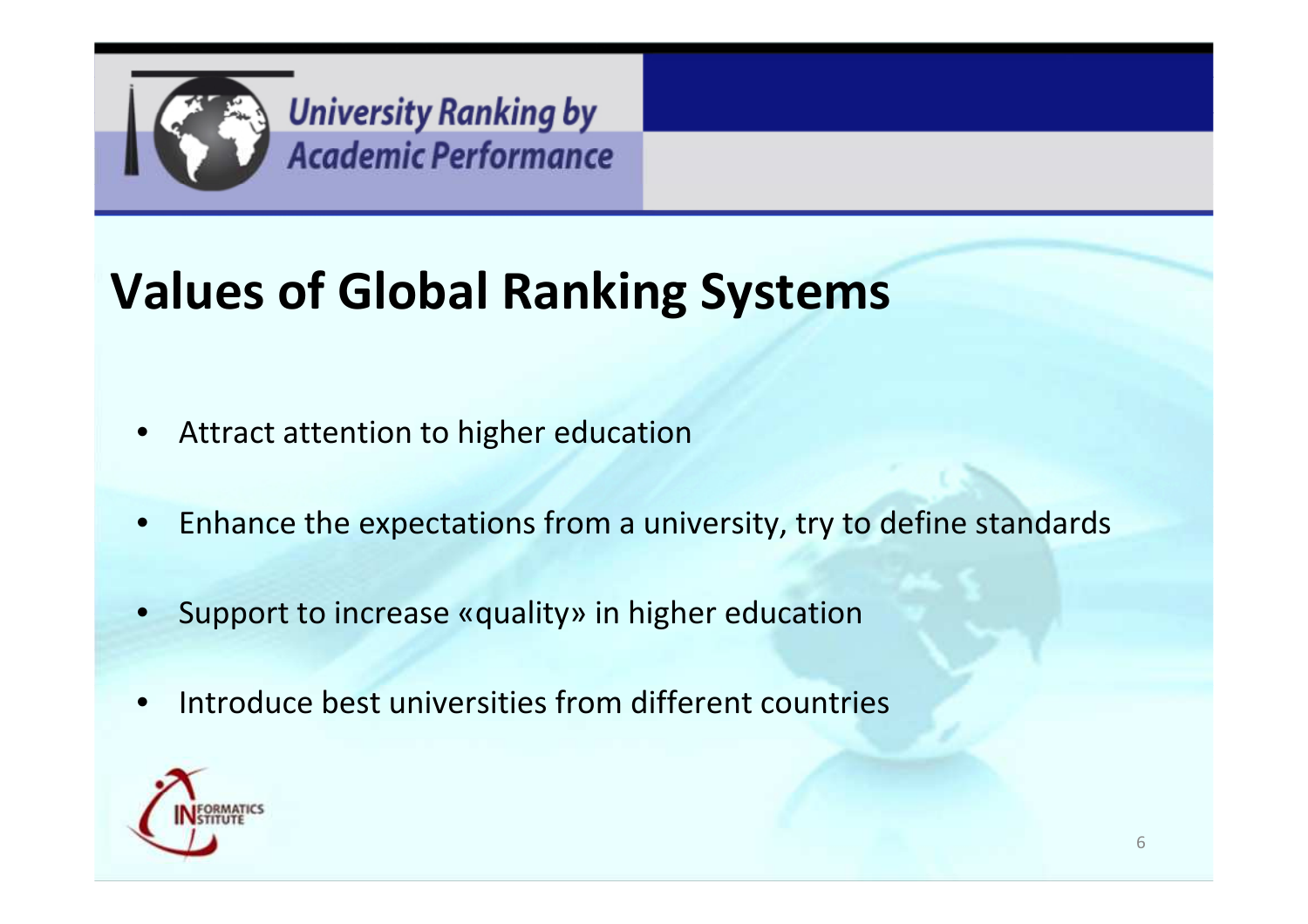

# **Values of Global Ranking Systems**

- $\bullet$ Attract attention to higher education
- •Enhance the expectations from a university, try to define standards
- $\bullet$ Support to increase «quality» in higher education
- •**•** Introduce best universities from different countries

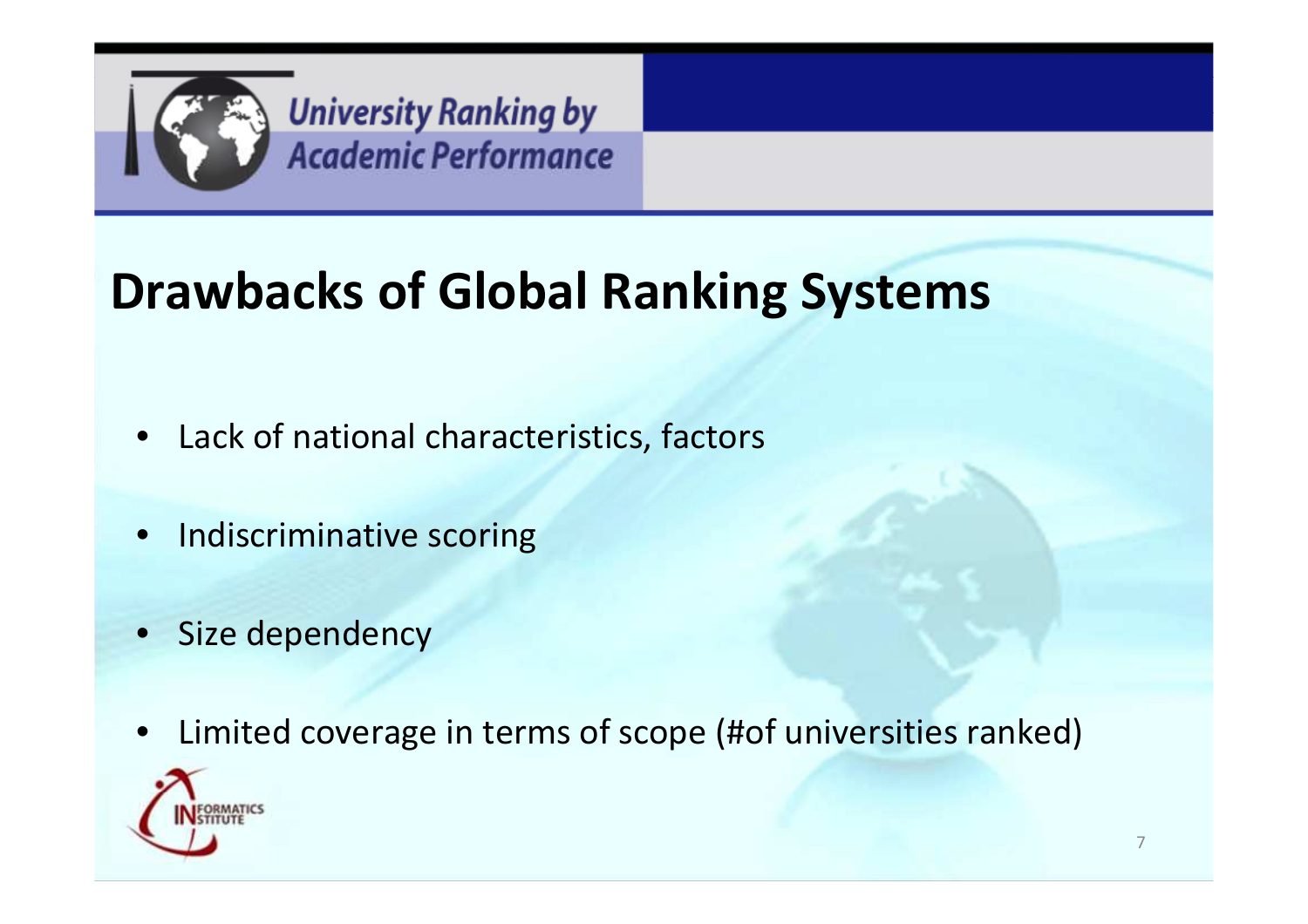

# **Drawbacks of Global Ranking Systems**

- $\bullet$ Lack of national characteristics, factors
- $\bullet$ Indiscriminative scoring
- $\bullet$ Size dependency
- $\bullet$ Limited coverage in terms of scope (#of universities ranked)

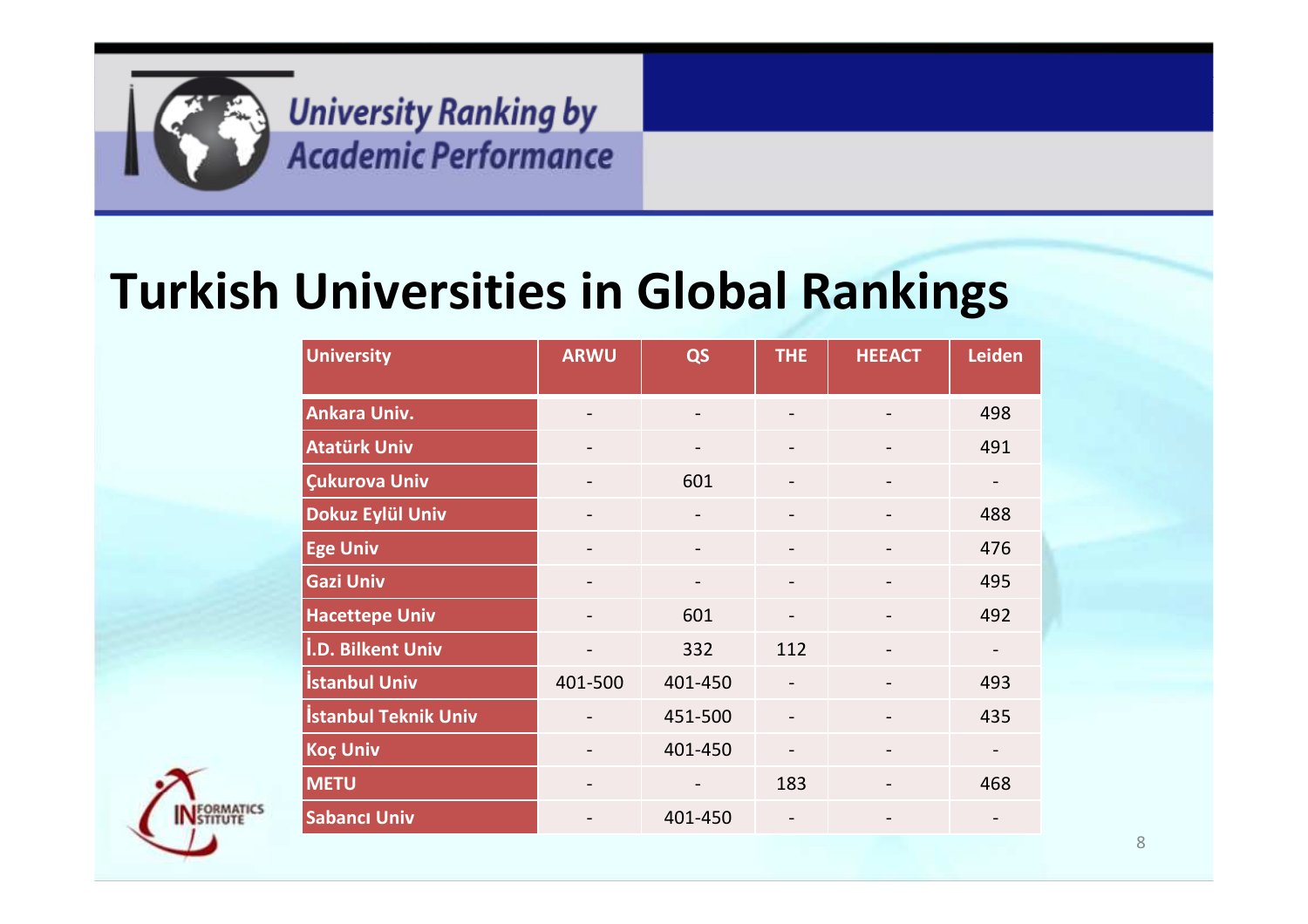

#### **Turkish Universities in Global Rankings**

| <b>University</b>           | <b>ARWU</b>       | QS                           | <b>THE</b>               | <b>HEEACT</b> | <b>Leiden</b> |
|-----------------------------|-------------------|------------------------------|--------------------------|---------------|---------------|
|                             |                   |                              |                          |               |               |
| Ankara Univ.                |                   | $\overline{\phantom{a}}$     |                          |               | 498           |
| <b>Atatürk Univ</b>         | $\qquad \qquad -$ | $\overline{\phantom{a}}$     | -                        |               | 491           |
| Çukurova Univ               |                   | 601                          |                          |               |               |
| Dokuz Eylül Univ            | $\qquad \qquad -$ | $\overline{\phantom{m}}$     | -                        |               | 488           |
| <b>Ege Univ</b>             |                   | $\qquad \qquad \blacksquare$ |                          |               | 476           |
| <b>Gazi Univ</b>            | $\qquad \qquad -$ | $\overline{\phantom{a}}$     | -                        |               | 495           |
| <b>Hacettepe Univ</b>       |                   | 601                          |                          |               | 492           |
| <b>I.D. Bilkent Univ</b>    | $\qquad \qquad -$ | 332                          | 112                      |               |               |
| <b>Istanbul Univ</b>        | 401-500           | 401-450                      |                          |               | 493           |
| <b>İstanbul Teknik Univ</b> |                   | 451-500                      |                          |               | 435           |
| <b>Koç Univ</b>             |                   | 401-450                      | $\overline{\phantom{0}}$ |               |               |
| <b>METU</b>                 |                   |                              | 183                      |               | 468           |
| <b>Sabancı Univ</b>         | $\qquad \qquad -$ | 401-450                      | $\qquad \qquad -$        |               |               |

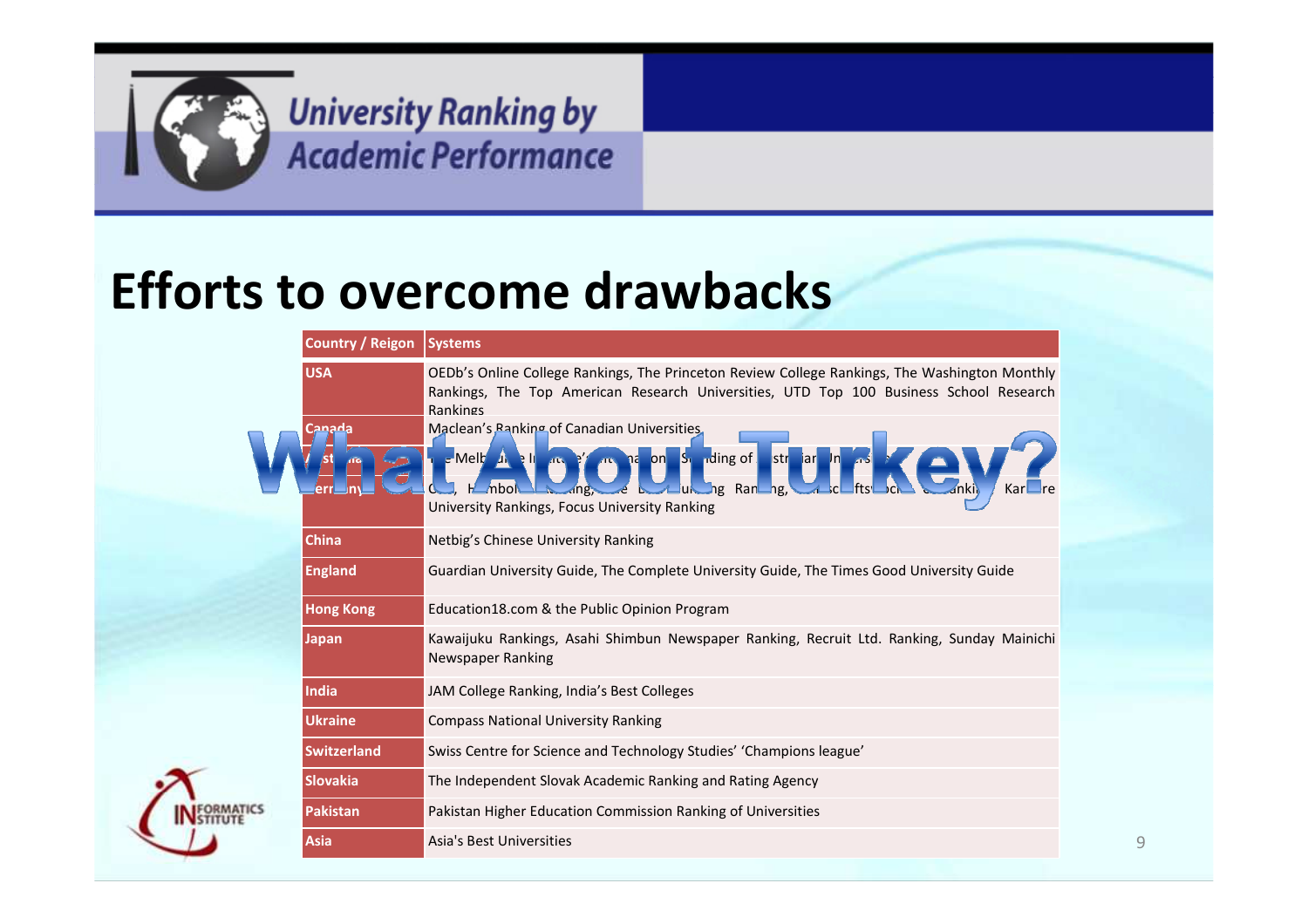

#### **Efforts to overcome drawbacks**

| <b>Country / Reigon</b> | <b>Systems</b>                                                                                                                                                                                                                                                                                                                                                                                                                                                                                               |  |  |  |  |  |  |  |
|-------------------------|--------------------------------------------------------------------------------------------------------------------------------------------------------------------------------------------------------------------------------------------------------------------------------------------------------------------------------------------------------------------------------------------------------------------------------------------------------------------------------------------------------------|--|--|--|--|--|--|--|
| <b>USA</b><br>Canada    | OEDb's Online College Rankings, The Princeton Review College Rankings, The Washington Monthly<br>Rankings, The Top American Research Universities, UTD Top 100 Business School Research<br>Rankings<br>Maclean's Panking of Canadian Universities<br>$S_1$ rding of<br>str_iar <mark>_ln</mark><br>$\mathsf{c}$ Melt $\mathsf{u}$<br>$\mathcal{L}$ $\mathbb{R}$ $\mathbb{R}$<br>$\Box$ on $\Box$<br>المه<br>้าะ<br>ng Randng,<br><b>All-un</b><br>- 15<br>æ<br>University Rankings, Focus University Ranking |  |  |  |  |  |  |  |
| <b>China</b>            |                                                                                                                                                                                                                                                                                                                                                                                                                                                                                                              |  |  |  |  |  |  |  |
|                         | Netbig's Chinese University Ranking                                                                                                                                                                                                                                                                                                                                                                                                                                                                          |  |  |  |  |  |  |  |
| <b>England</b>          | Guardian University Guide, The Complete University Guide, The Times Good University Guide                                                                                                                                                                                                                                                                                                                                                                                                                    |  |  |  |  |  |  |  |
| <b>Hong Kong</b>        | Education18.com & the Public Opinion Program                                                                                                                                                                                                                                                                                                                                                                                                                                                                 |  |  |  |  |  |  |  |
| <b>Japan</b>            | Kawaijuku Rankings, Asahi Shimbun Newspaper Ranking, Recruit Ltd. Ranking, Sunday Mainichi<br>Newspaper Ranking                                                                                                                                                                                                                                                                                                                                                                                              |  |  |  |  |  |  |  |
| India                   | JAM College Ranking, India's Best Colleges                                                                                                                                                                                                                                                                                                                                                                                                                                                                   |  |  |  |  |  |  |  |
| <b>Ukraine</b>          | <b>Compass National University Ranking</b>                                                                                                                                                                                                                                                                                                                                                                                                                                                                   |  |  |  |  |  |  |  |
| <b>Switzerland</b>      | Swiss Centre for Science and Technology Studies' 'Champions league'                                                                                                                                                                                                                                                                                                                                                                                                                                          |  |  |  |  |  |  |  |
| <b>Slovakia</b>         | The Independent Slovak Academic Ranking and Rating Agency                                                                                                                                                                                                                                                                                                                                                                                                                                                    |  |  |  |  |  |  |  |
| Pakistan                | Pakistan Higher Education Commission Ranking of Universities                                                                                                                                                                                                                                                                                                                                                                                                                                                 |  |  |  |  |  |  |  |
| <b>Asia</b>             | Asia's Best Universities                                                                                                                                                                                                                                                                                                                                                                                                                                                                                     |  |  |  |  |  |  |  |

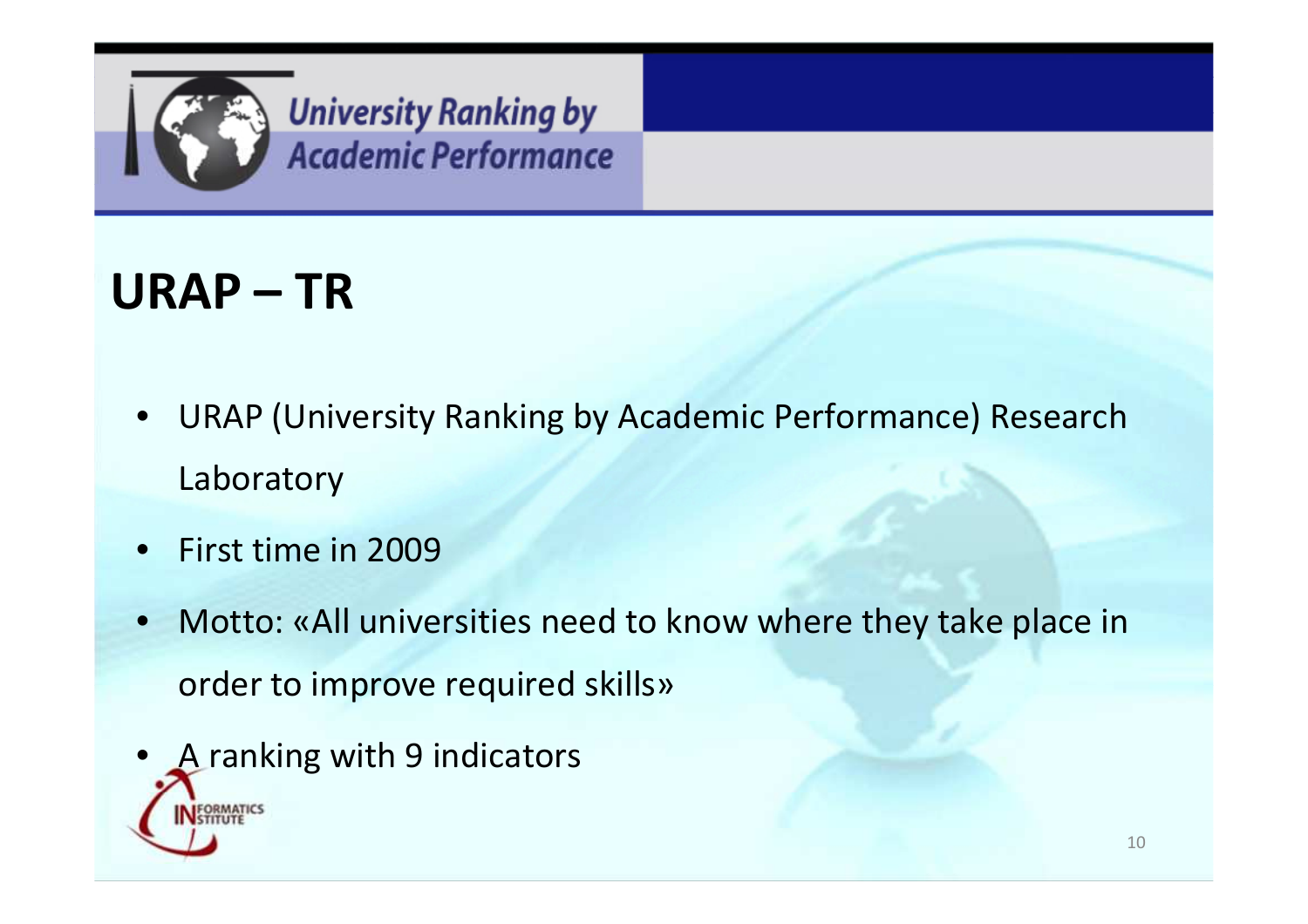

#### **URAP – TR**

- $\bullet$  URAP (University Ranking by Academic Performance) Research Laboratory
- $\bullet$ First time in 2009
- $\bullet$  Motto: «All universities need to know where they take place in order to improve required skills»
- •A ranking with 9 indicators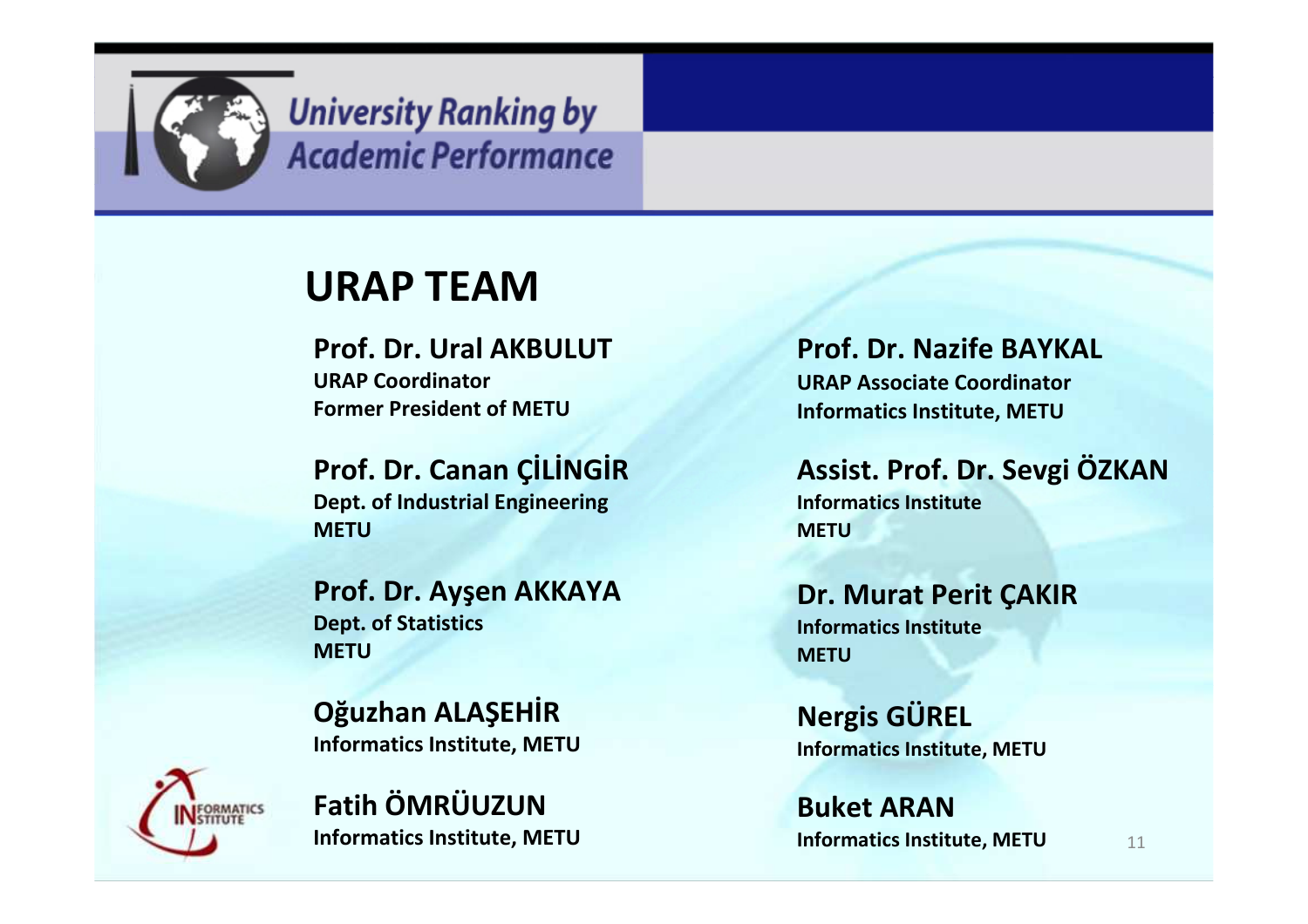

#### **URAP TEAM**

 **Prof. Dr. Ural AKBULUTURAP CoordinatorFormer President of METU**

**Prof. Dr. Canan ÇİLİNGİRDept. of Industrial EngineeringMETU**

**Prof. Dr. Ayşen AKKAYADept. of StatisticsMETU**

**Oğuzhan ALAŞEHİRInformatics Institute, METU**



**Fatih ÖMRÜUZUNInformatics Institute, METU** **Prof. Dr. Nazife BAYKALURAP Associate CoordinatorInformatics Institute, METU**

**Assist. Prof. Dr. Sevgi ÖZKANInformatics InstituteMETU**

**Dr. Murat Perit ÇAKIRInformatics InstituteMETU**

**Nergis GÜRELInformatics Institute, METU**

**Informatics Institute, METU** 11 **Buket ARAN**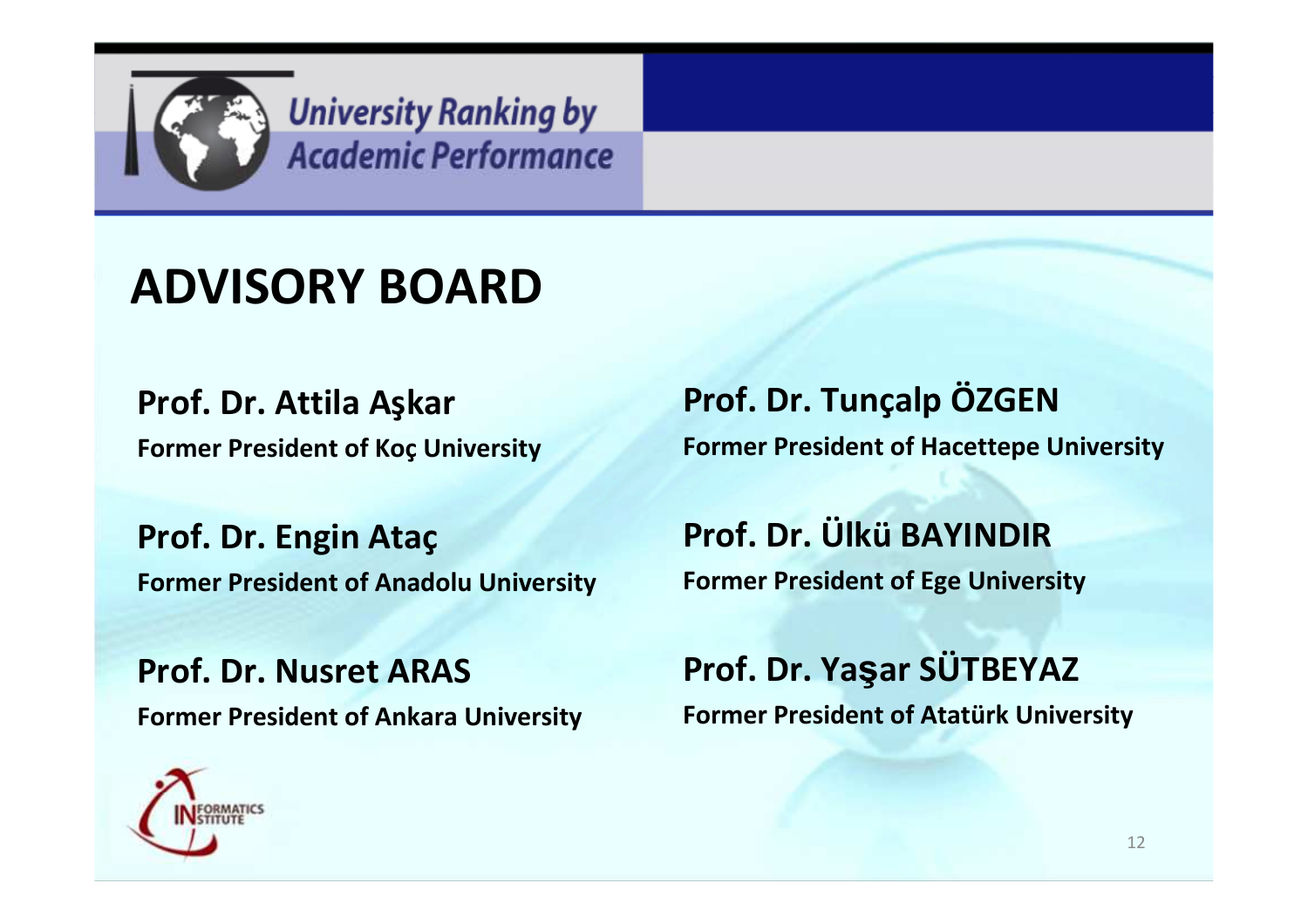

#### **ADVISORY BOARD**

**Prof. Dr. Attila AşkarFormer President of Koç University**

**Prof. Dr. Engin AtaçFormer President of Anadolu University**

**Prof. Dr. Nusret ARASFormer President of Ankara University**



**Prof. Dr. Tunçalp ÖZGENFormer President of Hacettepe University**

**Prof. Dr. Ülkü BAYINDIRFormer President of Ege University**

**Prof. Dr. Ya<sup>ş</sup>ar SÜTBEYAZ Former President of Atatürk University**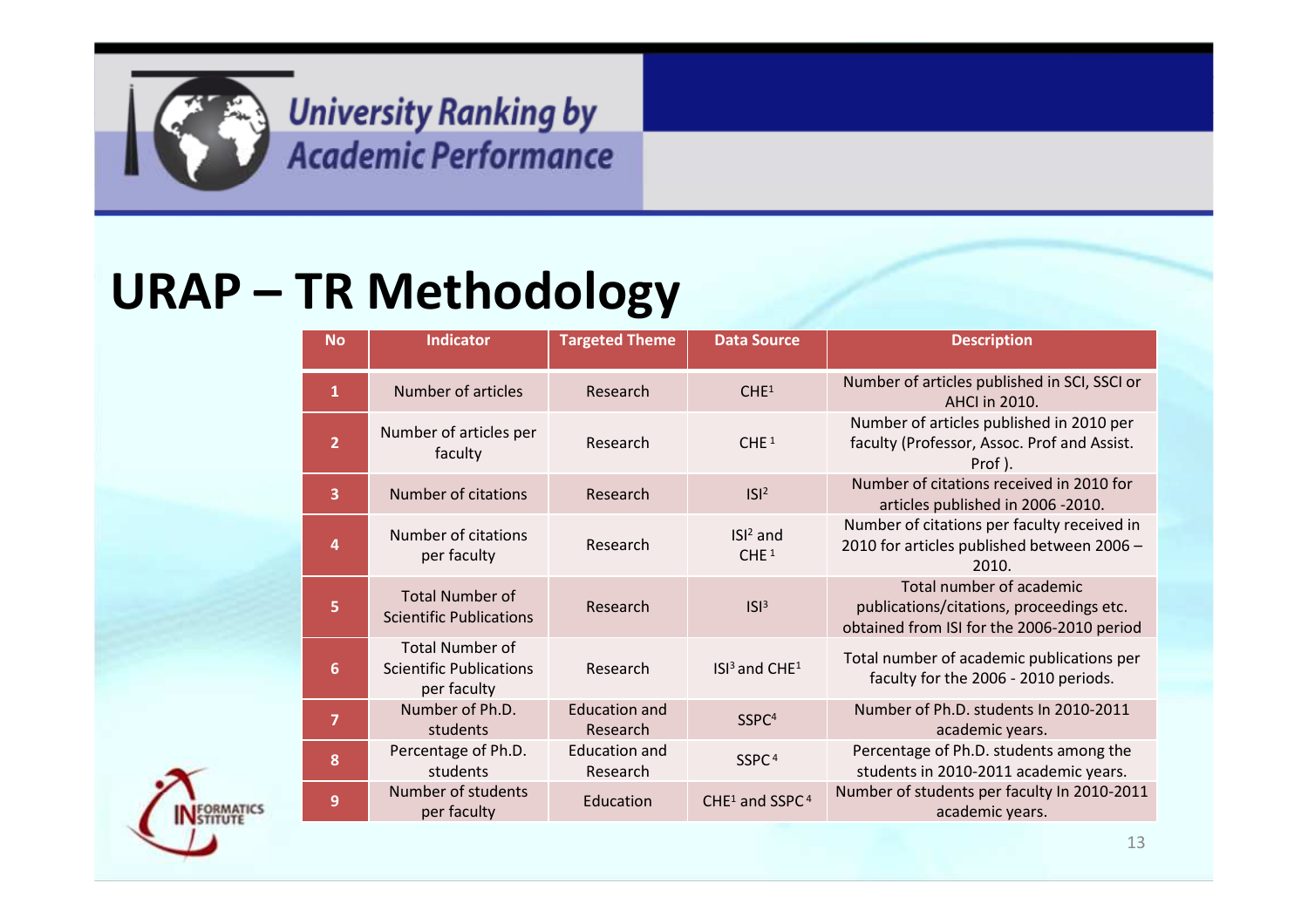

#### **URAP – TR Methodology**

| <b>No</b>               | <b>Indicator</b>                                                        | <b>Targeted Theme</b>            | <b>Data Source</b>                     | <b>Description</b>                                                                                                 |
|-------------------------|-------------------------------------------------------------------------|----------------------------------|----------------------------------------|--------------------------------------------------------------------------------------------------------------------|
| $\mathbf{1}$            | Number of articles                                                      | Research                         | CHE <sup>1</sup>                       | Number of articles published in SCI, SSCI or<br><b>AHCI in 2010.</b>                                               |
| $\overline{2}$          | Number of articles per<br>faculty                                       | Research                         | CHE <sup>1</sup>                       | Number of articles published in 2010 per<br>faculty (Professor, Assoc. Prof and Assist.<br>Prof).                  |
| $\overline{\mathbf{3}}$ | Number of citations                                                     | Research                         | $ S ^2$                                | Number of citations received in 2010 for<br>articles published in 2006 -2010.                                      |
| 4                       | Number of citations<br>per faculty                                      | Research                         | $ISI2$ and<br>CHE <sup>1</sup>         | Number of citations per faculty received in<br>2010 for articles published between 2006 -<br>2010.                 |
| 5                       | <b>Total Number of</b><br><b>Scientific Publications</b>                | Research                         | $ S ^3$                                | Total number of academic<br>publications/citations, proceedings etc.<br>obtained from ISI for the 2006-2010 period |
| 6                       | <b>Total Number of</b><br><b>Scientific Publications</b><br>per faculty | Research                         | ISI <sup>3</sup> and CHE <sup>1</sup>  | Total number of academic publications per<br>faculty for the 2006 - 2010 periods.                                  |
| $\overline{7}$          | Number of Ph.D.<br>students                                             | <b>Education and</b><br>Research | SSPC <sup>4</sup>                      | Number of Ph.D. students In 2010-2011<br>academic years.                                                           |
| 8                       | Percentage of Ph.D.<br>students                                         | <b>Education and</b><br>Research | SSPC <sup>4</sup>                      | Percentage of Ph.D. students among the<br>students in 2010-2011 academic years.                                    |
| 9                       | Number of students<br>per faculty                                       | Education                        | CHE <sup>1</sup> and SSPC <sup>4</sup> | Number of students per faculty In 2010-2011<br>academic years.                                                     |

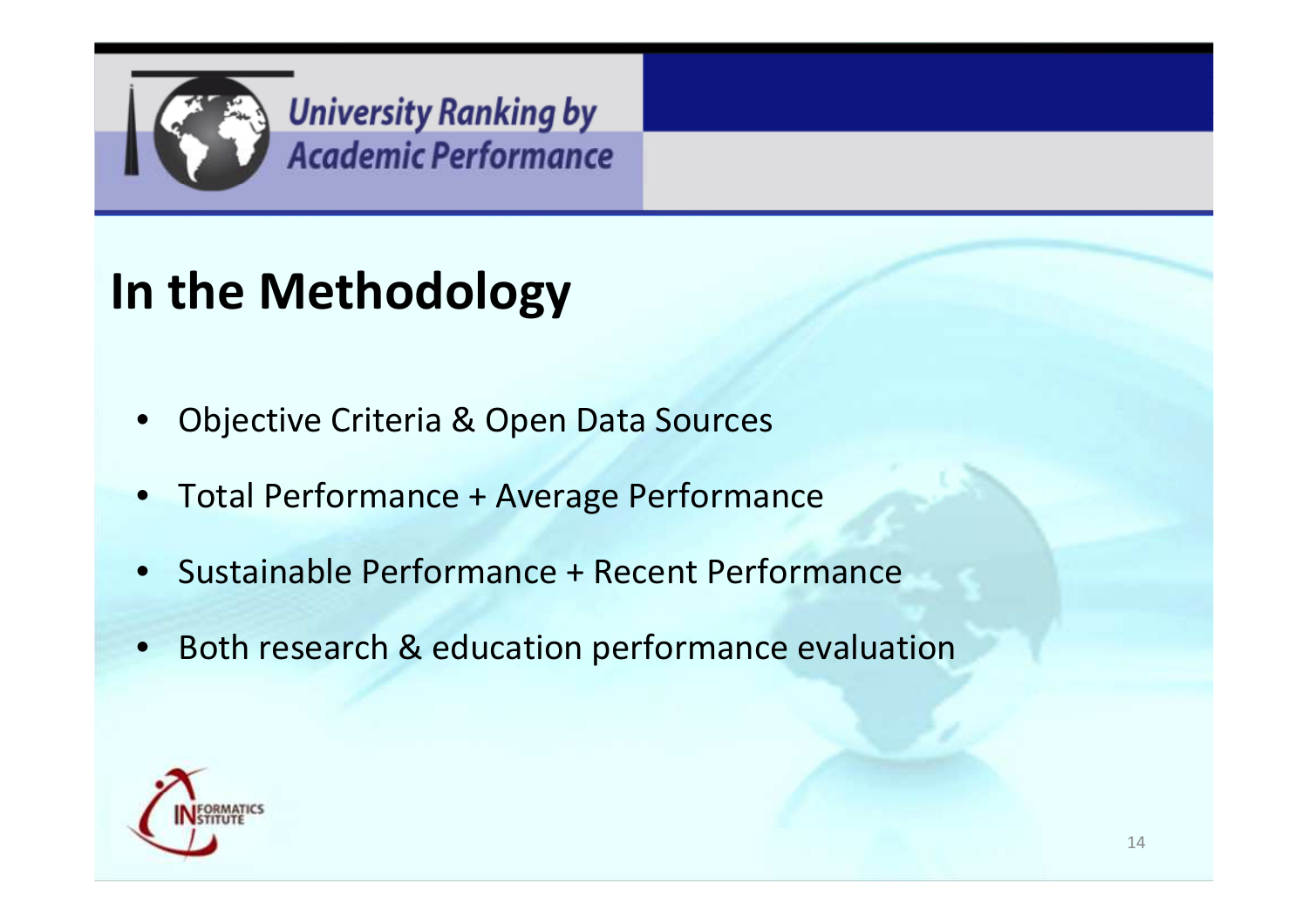

### **In the Methodology**

- •Objective Criteria & Open Data Sources
- •Total Performance + Average Performance
- •Sustainable Performance + Recent Performance
- $\bullet$ Both research & education performance evaluation

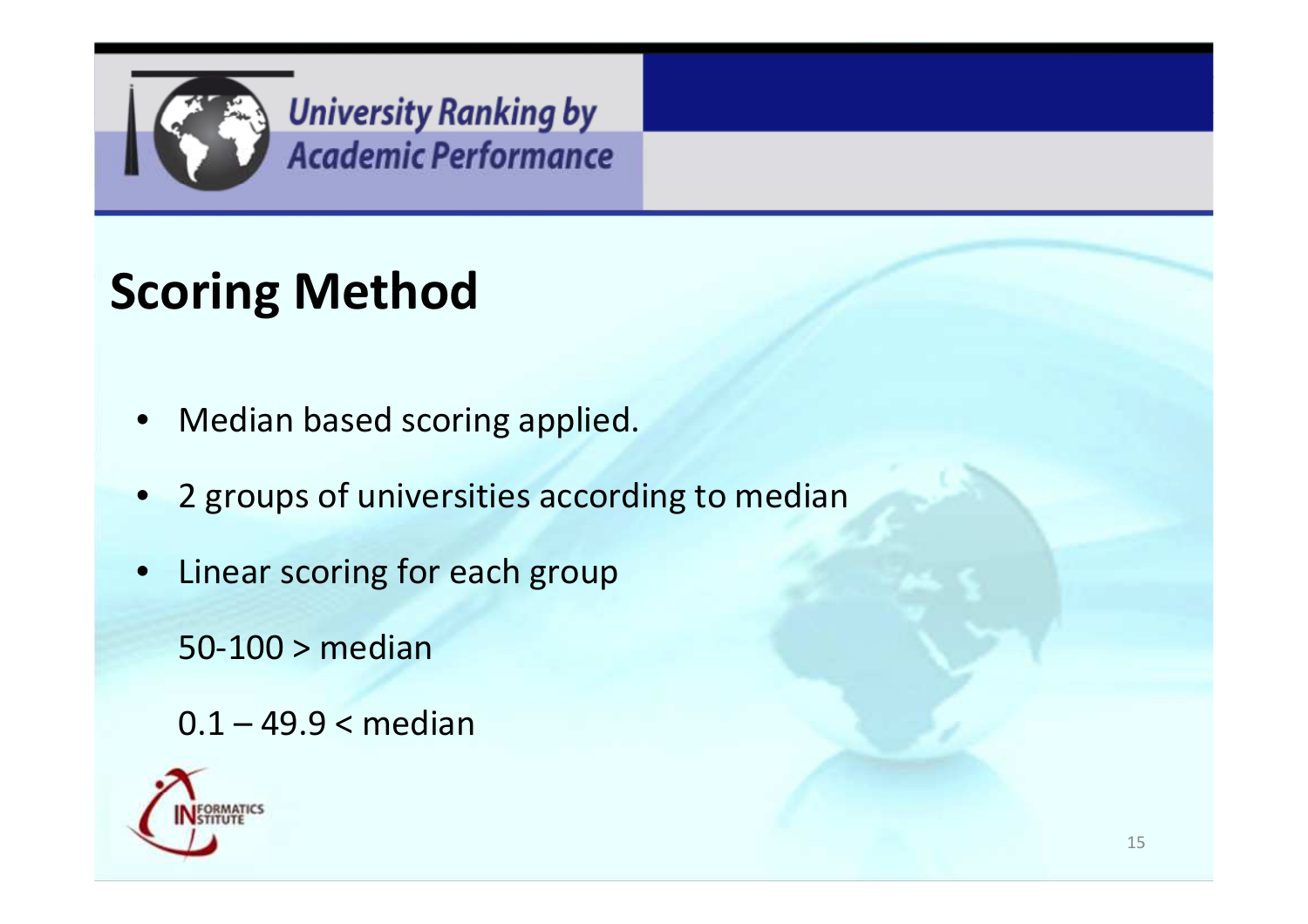

# **Scoring Method**

- $\bullet$ Median based scoring applied.
- •2 groups of universities according to median
- • Linear scoring for each group
	- 50-100 > median
	- 0.1 49.9 < median

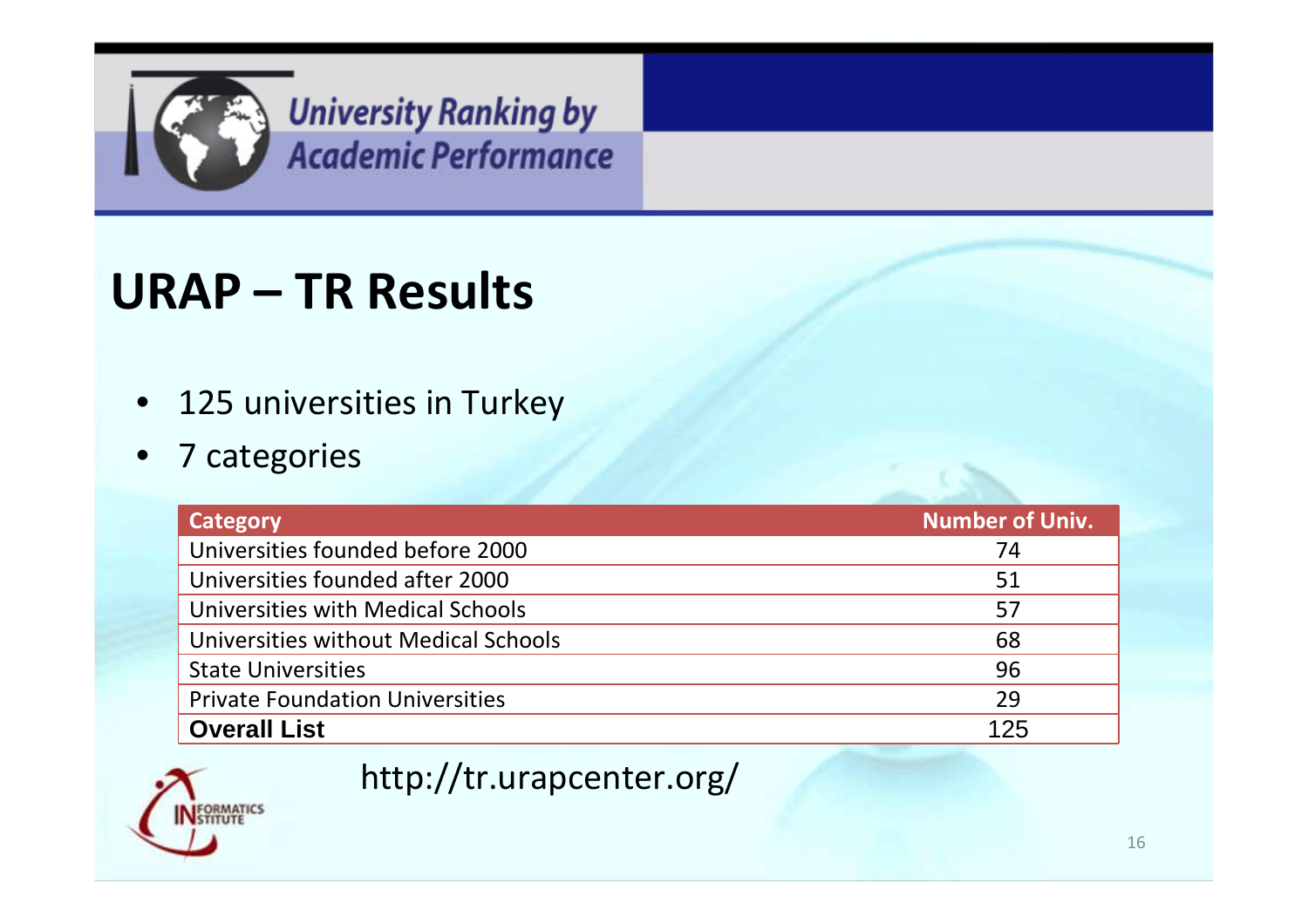

#### **URAP – TR Results**

- $\bullet$ 125 universities in Turkey
- $\bullet$ <sup>7</sup> categories

| Category                               | Number of Univ. |
|----------------------------------------|-----------------|
| Universities founded before 2000       | 74              |
| Universities founded after 2000        | 51              |
| Universities with Medical Schools      | 57              |
| Universities without Medical Schools   | 68              |
| <b>State Universities</b>              | 96              |
| <b>Private Foundation Universities</b> | 29              |
| <b>Overall List</b>                    | 125             |



#### http://tr.urapcenter.org/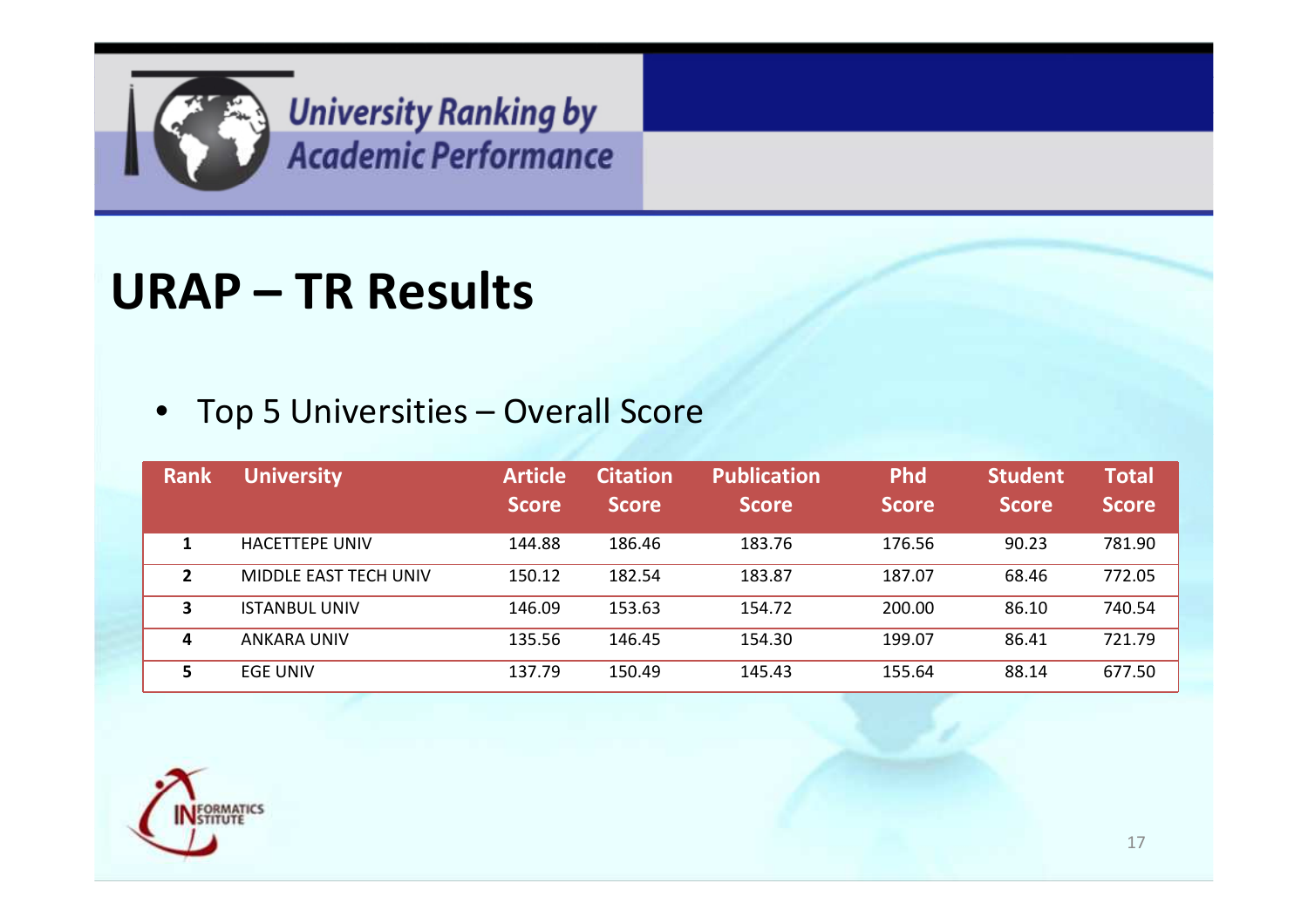

#### **URAP – TR Results**

#### • Top 5 Universities – Overall Score

| <b>Rank</b> | <b>University</b>     | <b>Article</b><br><b>Score</b> | <b>Citation</b><br><b>Score</b> | <b>Publication</b><br><b>Score</b> | <b>Phd</b><br><b>Score</b> | <b>Student</b><br><b>Score</b> | <b>Total</b><br><b>Score</b> |
|-------------|-----------------------|--------------------------------|---------------------------------|------------------------------------|----------------------------|--------------------------------|------------------------------|
|             | HACFTTFPF UNIV        | 144.88                         | 186.46                          | 183.76                             | 176.56                     | 90.23                          | 781.90                       |
| 2           | MIDDLE EAST TECH UNIV | 150.12                         | 182.54                          | 183.87                             | 187.07                     | 68.46                          | 772.05                       |
| 3           | <b>ISTANBUL UNIV</b>  | 146.09                         | 153.63                          | 154.72                             | 200.00                     | 86.10                          | 740.54                       |
| 4           | <b>ANKARA UNIV</b>    | 135.56                         | 146.45                          | 154.30                             | 199.07                     | 86.41                          | 721.79                       |
| 5           | <b>EGE UNIV</b>       | 137.79                         | 150.49                          | 145.43                             | 155.64                     | 88.14                          | 677.50                       |

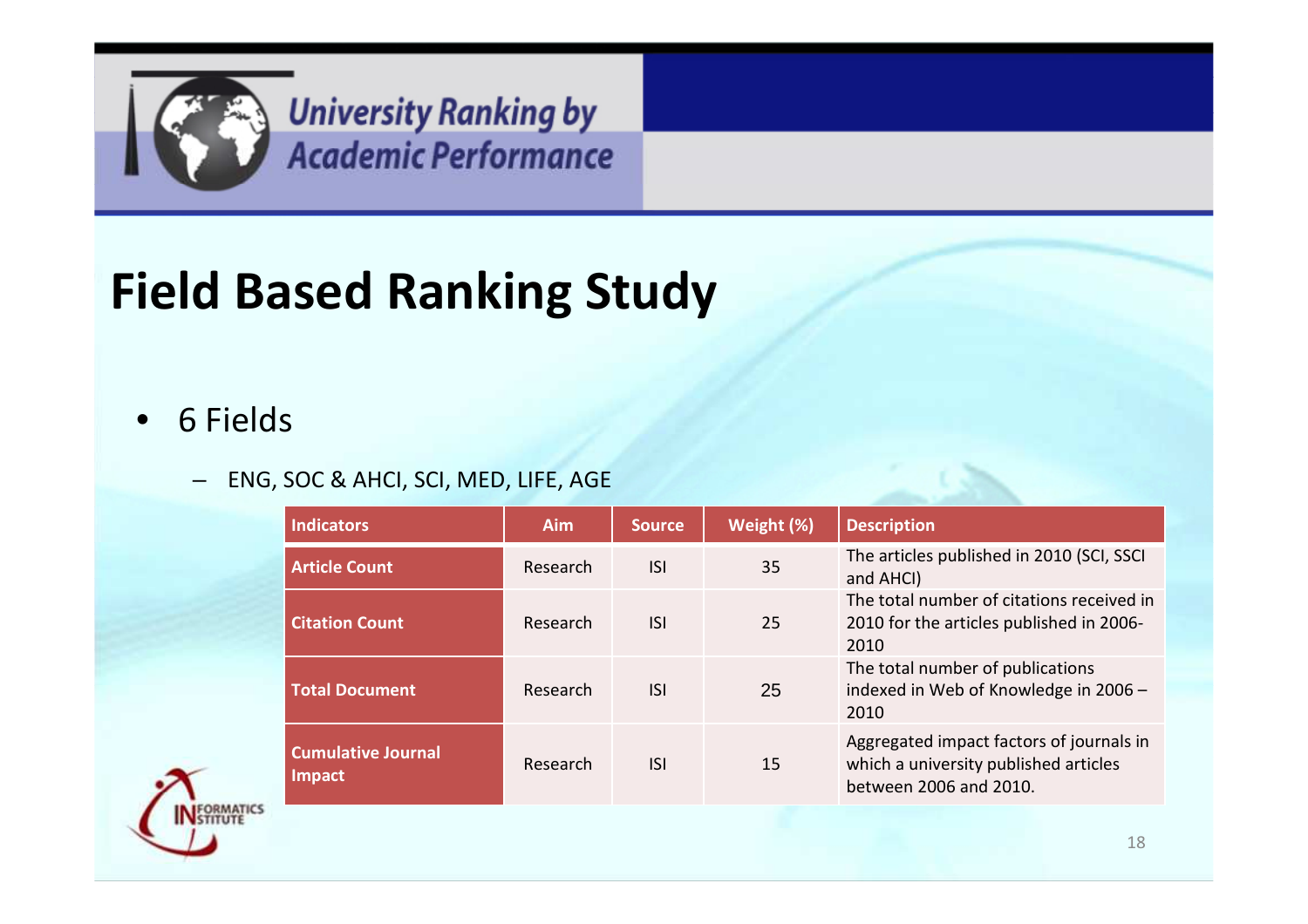

# **Field Based Ranking Study**

#### $\bullet$ 6 Fields

#### – ENG, SOC & AHCI, SCI, MED, LIFE, AGE

| <b>Indicators</b>                          | <b>Aim</b> | <b>Source</b> | Weight (%) | <b>Description</b>                                                                                          |
|--------------------------------------------|------------|---------------|------------|-------------------------------------------------------------------------------------------------------------|
| <b>Article Count</b>                       | Research   | <b>ISI</b>    | 35         | The articles published in 2010 (SCI, SSCI<br>and AHCI)                                                      |
| <b>Citation Count</b>                      | Research   | <b>ISI</b>    | 25         | The total number of citations received in<br>2010 for the articles published in 2006-<br>2010               |
| <b>Total Document</b>                      | Research   | ISI.          | 25         | The total number of publications<br>indexed in Web of Knowledge in 2006 -<br>2010                           |
| <b>Cumulative Journal</b><br><b>Impact</b> | Research   | <b>ISI</b>    | 15         | Aggregated impact factors of journals in<br>which a university published articles<br>between 2006 and 2010. |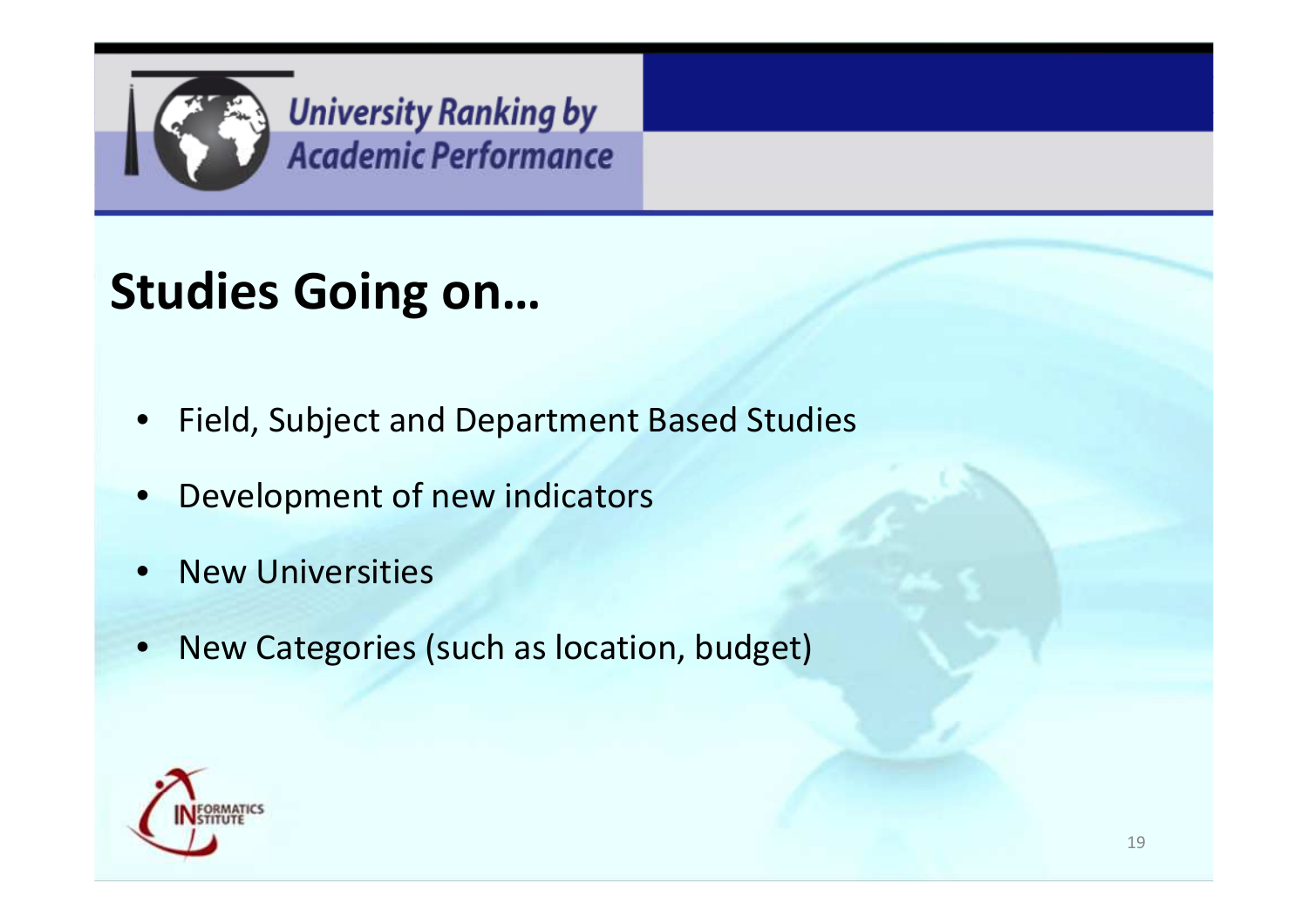

### **Studies Going on…**

- $\bullet$ Field, Subject and Department Based Studies
- •Development of new indicators
- •New Universities
- $\bullet$ New Categories (such as location, budget)